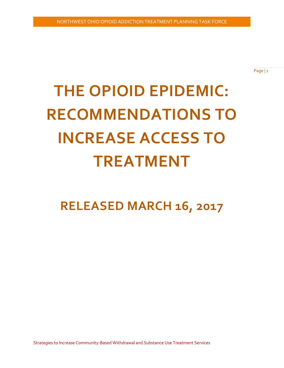Page | 1

# **THE OPIOID EPIDEMIC: RECOMMENDATIONS TO INCREASE ACCESS TO TREATMENT**

## **RELEASED MARCH 16, 2017**

Strategies to Increase Community-Based Withdrawal and Substance Use Treatment Services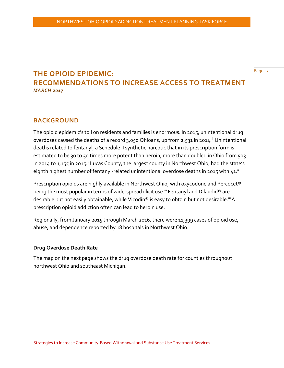### **THE OPIOID EPIDEMIC: RECOMMENDATIONS TO INCREASE ACCESS TO TREATMENT** *MARCH 2017*

#### **BACKGROUND**

The opioid epidemic's toll on residents and families is enormous. In 2015, unintentional drug overdoses caused the deaths of a record 3,050 Ohioans, up from 2,531 in 2014.<sup>ii</sup> Unintentional deaths related to fentanyl, a Schedule II synthetic narcotic that in its prescription form is estimated to be 30 to 50 times more potent than heroin, more than doubled in Ohio from 503 in 2014 to 1,155 in 2015.<sup>ii</sup> Lucas County, the largest county in Northwest Ohio, had the state's eighth highest number of fentanyl-related unintentional overdose deaths in 2015 with  $41.^{ii}$ 

Prescription opioids are highly available in Northwest Ohio, with oxycodone and Percocet® being the most popular in terms of wide-spread illicit use.<sup>iii</sup> Fentanyl and Dilaudid® are desirable but not easily obtainable, while Vicodin® is easy to obtain but not desirable.<sup>iii</sup> A prescription opioid addiction often can lead to heroin use.

Regionally, from January 2015 through March 2016, there were 11,399 cases of opioid use, abuse, and dependence reported by 18 hospitals in Northwest Ohio.

#### **Drug Overdose Death Rate**

The map on the next page shows the drug overdose death rate for counties throughout northwest Ohio and southeast Michigan.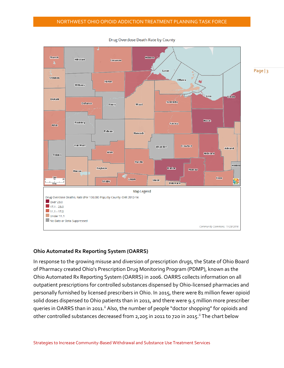

Drug Overdose Death Rate by County

Page | 3

#### **Ohio Automated Rx Reporting System (OARRS)**

In response to the growing misuse and diversion of prescription drugs, the State of Ohio Board of Pharmacy created Ohio's Prescription Drug Monitoring Program (PDMP), known as the Ohio Automated Rx Reporting System (OARRS) in 2006. OARRS collects information on all outpatient prescriptions for controlled substances dispensed by Ohio-licensed pharmacies and personally furnished by licensed prescribers in Ohio. In 2015, there were 81 million fewer opioid solid doses dispensed to Ohio patients than in 2011, and there were 9.5 million more prescriber queries in OARRS than in 2011.<sup>ii</sup> Also, the number of people "doctor shopping" for opioids and other controlled substances decreased from 2,205 in 2011 to 720 in 2015.<sup>ii</sup> The chart below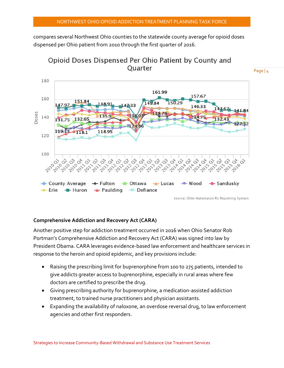compares several Northwest Ohio counties to the statewide county average for opioid doses dispensed per Ohio patient from 2010 through the first quarter of 2016.



Opioid Doses Dispensed Per Ohio Patient by County and Quarter

#### **Comprehensive Addiction and Recovery Act (CARA)**

Another positive step for addiction treatment occurred in 2016 when Ohio Senator Rob Portman's Comprehensive Addiction and Recovery Act (CARA) was signed into law by President Obama. CARA leverages evidence-based law enforcement and healthcare services in response to the heroin and opioid epidemic, and key provisions include:

- Raising the prescribing limit for buprenorphine from 100 to 275 patients, intended to give addicts greater access to buprenorphine, especially in rural areas where few doctors are certified to prescribe the drug.
- Giving prescribing authority for buprenorphine, a medication-assisted addiction treatment, to trained nurse practitioners and physician assistants.
- Expanding the availability of naloxone, an overdose reversal drug, to law enforcement agencies and other first responders.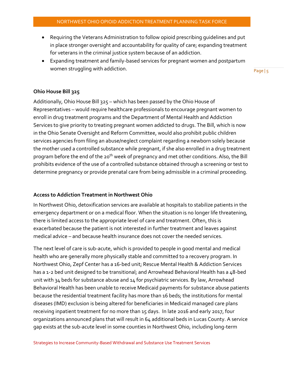- Requiring the Veterans Administration to follow opioid prescribing guidelines and put in place stronger oversight and accountability for quality of care; expanding treatment for veterans in the criminal justice system because of an addiction.
- Expanding treatment and family-based services for pregnant women and postpartum women struggling with addiction.

Page | 5

#### **Ohio House Bill 325**

Additionally, Ohio House Bill 325 – which has been passed by the Ohio House of Representatives – would require healthcare professionals to encourage pregnant women to enroll in drug treatment programs and the Department of Mental Health and Addiction Services to give priority to treating pregnant women addicted to drugs. The Bill, which is now in the Ohio Senate Oversight and Reform Committee, would also prohibit public children services agencies from filing an abuse/neglect complaint regarding a newborn solely because the mother used a controlled substance while pregnant, if she also enrolled in a drug treatment program before the end of the 20<sup>th</sup> week of pregnancy and met other conditions. Also, the Bill prohibits evidence of the use of a controlled substance obtained through a screening or test to determine pregnancy or provide prenatal care from being admissible in a criminal proceeding.

#### **Access to Addiction Treatment in Northwest Ohio**

In Northwest Ohio, detoxification services are available at hospitals to stabilize patients in the emergency department or on a medical floor. When the situation is no longer life threatening, there is limited access to the appropriate level of care and treatment. Often, this is exacerbated because the patient is not interested in further treatment and leaves against medical advice – and because health insurance does not cover the needed services.

The next level of care is sub-acute, which is provided to people in good mental and medical health who are generally more physically stable and committed to a recovery program. In Northwest Ohio, Zepf Center has a 16-bed unit; Rescue Mental Health & Addiction Services has a 1-2 bed unit designed to be transitional; and Arrowhead Behavioral Health has a 48-bed unit with 34 beds for substance abuse and 14 for psychiatric services. By law, Arrowhead Behavioral Health has been unable to receive Medicaid payments for substance abuse patients because the residential treatment facility has more than 16 beds; the institutions for mental diseases (IMD) exclusion is being altered for beneficiaries in Medicaid managed care plans receiving inpatient treatment for no more than 15 days. In late 2016 and early 2017, four organizations announced plans that will result in 64 additional beds in Lucas County. A service gap exists at the sub-acute level in some counties in Northwest Ohio, including long-term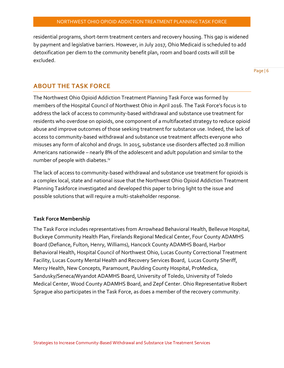residential programs, short-term treatment centers and recovery housing. This gap is widened by payment and legislative barriers. However, in July 2017, Ohio Medicaid is scheduled to add detoxification per diem to the community benefit plan, room and board costs will still be excluded.

Page | 6

#### **ABOUT THE TASK FORCE**

The Northwest Ohio Opioid Addiction Treatment Planning Task Force was formed by members of the Hospital Council of Northwest Ohio in April 2016. The Task Force's focus is to address the lack of access to community-based withdrawal and substance use treatment for residents who overdose on opioids, one component of a multifaceted strategy to reduce opioid abuse and improve outcomes of those seeking treatment for substance use. Indeed, the lack of access to community-based withdrawal and substance use treatment affects everyone who misuses any form of alcohol and drugs. In 2015, substance use disorders affected 20.8 million Americans nationwide – nearly 8% of the adolescent and adult population and similar to the number of people with diabetes.iv

The lack of access to community-based withdrawal and substance use treatment for opioids is a complex local, state and national issue that the Northwest Ohio Opioid Addiction Treatment Planning Taskforce investigated and developed this paper to bring light to the issue and possible solutions that will require a multi-stakeholder response.

#### **Task Force Membership**

The Task Force includes representatives from Arrowhead Behavioral Health, Bellevue Hospital, Buckeye Community Health Plan, Firelands Regional Medical Center, Four County ADAMHS Board (Defiance, Fulton, Henry, Williams), Hancock County ADAMHS Board, Harbor Behavioral Health, Hospital Council of Northwest Ohio, Lucas County Correctional Treatment Facility, Lucas County Mental Health and Recovery Services Board, Lucas County Sheriff, Mercy Health, New Concepts, Paramount, Paulding County Hospital, ProMedica, Sandusky/Seneca/Wyandot ADAMHS Board, University of Toledo, University of Toledo Medical Center, Wood County ADAMHS Board, and Zepf Center. Ohio Representative Robert Sprague also participates in the Task Force, as does a member of the recovery community.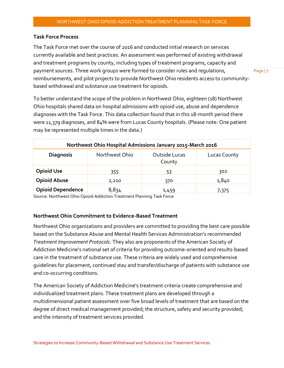#### **Task Force Process**

The Task Force met over the course of 2016 and conducted initial research on services currently available and best practices. An assessment was performed of existing withdrawal and treatment programs by county, including types of treatment programs, capacity and payment sources. Three work groups were formed to consider rules and regulations, reimbursements, and pilot projects to provide Northwest Ohio residents access to communitybased withdrawal and substance use treatment for opioids.

Page | 7

To better understand the scope of the problem in Northwest Ohio, eighteen (18) Northwest Ohio hospitals shared data on hospital admissions with opioid use, abuse and dependence diagnoses with the Task Force. This data collection found that in this 18-month period there were 11,379 diagnoses, and 84% were from Lucas County hospitals. (Please note: One patient may be represented multiple times in the data.)

| Northwest Ohio Hospital Admissions January 2015-March 2016 |                |                                |              |  |
|------------------------------------------------------------|----------------|--------------------------------|--------------|--|
| <b>Diagnosis</b>                                           | Northwest Ohio | <b>Outside Lucas</b><br>County | Lucas County |  |
| <b>Opioid Use</b>                                          | 355            | 53                             | 302          |  |
| <b>Opioid Abuse</b>                                        | 2,210          | 370                            | 1,840        |  |
| <b>Opioid Dependence</b>                                   | 8,834          | 1,459                          | 7,375        |  |

Source: Northwest Ohio Opioid Addiction Treatment Planning Task Force

#### **Northwest Ohio Commitment to Evidence-Based Treatment**

Northwest Ohio organizations and providers are committed to providing the best care possible based on the Substance Abuse and Mental Health Services Administration's recommended *Treatment Improvement Protocols*. They also are proponents of the American Society of Addiction Medicine's national set of criteria for providing outcome-oriented and results-based care in the treatment of substance use. These criteria are widely used and comprehensive guidelines for placement, continued stay and transfer/discharge of patients with substance use and co-occurring conditions.

The American Society of Addiction Medicine's treatment criteria create comprehensive and individualized treatment plans. These treatment plans are developed through a multidimensional patient assessment over five broad levels of treatment that are based on the degree of direct medical management provided; the structure, safety and security provided; and the intensity of treatment services provided.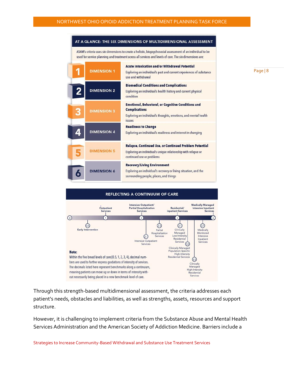

#### **REFLECTING A CONTINUUM OF CARE** ntensive Outpatient/ Medically Managed Outpatient Residential/ Intensive Inpatient **Partial Hospitalization** Services Services **Inpatient Services** Service  $\mathbf{1}$  $\overline{2}$ a  $\odot$  $(0.5)$ ☺  $\odot$ Early Intervention Clinically Medically Partial Hospitalization Managed Monitored 21 Services Low-Intensit Intensive Residential Inpatient Residential<br>Services<br>(3.3) Intensive Outpatient Services Services Clinically Managed Population-Specific<br>High-Intensity Note: Within the five broad levels of care (0.5, 1, 2, 3, 4), decimal num-**Residential Services**  $\odot$ bers are used to further express gradations of intensity of services. Clinically The decimals listed here represent benchmarks along a continuum, Managed High-Intensity meaning patients can move up or down in terms of intensity with-Residential Services out necessarily being placed in a new benchmark level of care.

Through this strength-based multidimensional assessment, the criteria addresses each patient's needs, obstacles and liabilities, as well as strengths, assets, resources and support structure.

However, it is challenging to implement criteria from the Substance Abuse and Mental Health Services Administration and the American Society of Addiction Medicine. Barriers include a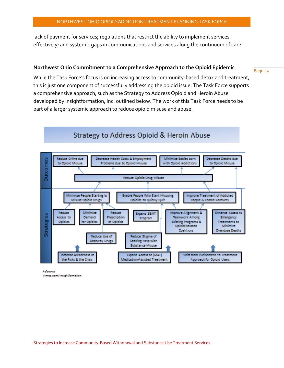lack of payment for services; regulations that restrict the ability to implement services effectively; and systemic gaps in communications and services along the continuum of care.

#### **Northwest Ohio Commitment to a Comprehensive Approach to the Opioid Epidemic**

Page | 9

While the Task Force's focus is on increasing access to community-based detox and treatment, this is just one component of successfully addressing the opioid issue. The Task Force supports a comprehensive approach, such as the Strategy to Address Opioid and Heroin Abuse developed by Insightformation, Inc. outlined below. The work of this Task Force needs to be part of a larger systemic approach to reduce opioid misuse and abuse.

Strategy to Address Opioid & Heroin Abuse



**Melerence** Vimco.com/Insight/ormation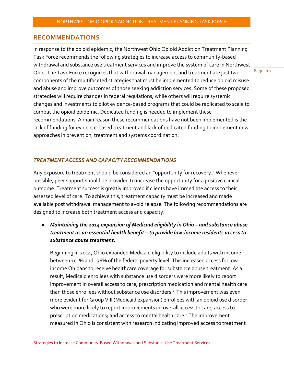#### **RECOMMENDATIONS**

In response to the opioid epidemic, the Northwest Ohio Opioid Addiction Treatment Planning Task Force recommends the following strategies to increase access to community-based withdrawal and substance use treatment services and improve the system of care in Northwest Ohio. The Task Force recognizes that withdrawal management and treatment are just two components of the multifaceted strategies that must be implemented to reduce opioid misuse and abuse and improve outcomes of those seeking addiction services. Some of these proposed strategies will require changes in federal regulations, while others will require systemic changes and investments to pilot evidence-based programs that could be replicated to scale to combat the opioid epidemic. Dedicated funding is needed to implement these recommendations. A main reason these recommendations have not been implemented is the lack of funding for evidence-based treatment and lack of dedicated funding to implement new approaches in prevention, treatment and systems coordination.

#### *TREATMENT ACCESS AND CAPACITY RECOMMENDATIONS*

Any exposure to treatment should be considered an "opportunity for recovery." Whenever possible, peer support should be provided to increase the opportunity for a positive clinical outcome. Treatment success is greatly improved if clients have immediate access to their assessed level of care. To achieve this, treatment capacity must be increased and made available post withdrawal management to avoid relapse. The following recommendations are designed to increase both treatment access and capacity:

 *Maintaining the 2014 expansion of Medicaid eligibility in Ohio – and substance abuse treatment as an essential health benefit – to provide low-income residents access to substance abuse treatment.*

Beginning in 2014, Ohio expanded Medicaid eligibility to include adults with income between 101% and 138% of the federal poverty level. This increased access for lowincome Ohioans to receive healthcare coverage for substance abuse treatment. As a result, Medicaid enrollees with substance use disorders were more likely to report improvement in overall access to care, prescription medication and mental health care than those enrollees without substance use disorders.<sup>v</sup> This improvement was even more evident for Group VIII (Medicaid expansion) enrollees with an opioid use disorder who were more likely to report improvements in: overall access to care; access to prescription medications; and access to mental health care.<sup>v</sup> The improvement measured in Ohio is consistent with research indicating improved access to treatment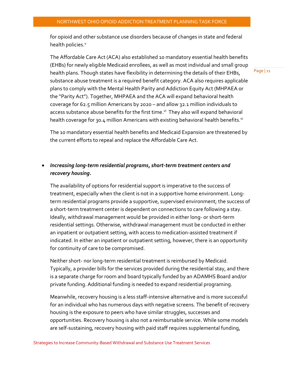for opioid and other substance use disorders because of changes in state and federal health policies.<sup>v</sup>

The Affordable Care Act (ACA) also established 10 mandatory essential health benefits (EHBs) for newly eligible Medicaid enrollees, as well as most individual and small group health plans. Though states have flexibility in determining the details of their EHBs, substance abuse treatment is a required benefit category. ACA also requires applicable plans to comply with the Mental Health Parity and Addiction Equity Act (MHPAEA or the "Parity Act"). Together, MHPAEA and the ACA will expand behavioral health coverage for 62.5 million Americans by 2020 – and allow 32.1 million individuals to access substance abuse benefits for the first time.<sup>vi</sup> They also will expand behavioral health coverage for 30.4 million Americans with existing behavioral health benefits.<sup>vi</sup>

The 10 mandatory essential health benefits and Medicaid Expansion are threatened by the current efforts to repeal and replace the Affordable Care Act.

#### *Increasing long-term residential programs, short-term treatment centers and recovery housing.*

The availability of options for residential support is imperative to the success of treatment, especially when the client is not in a supportive home environment. Longterm residential programs provide a supportive, supervised environment; the success of a short-term treatment center is dependent on connections to care following a stay. Ideally, withdrawal management would be provided in either long- or short-term residential settings. Otherwise, withdrawal management must be conducted in either an inpatient or outpatient setting, with access to medication-assisted treatment if indicated. In either an inpatient or outpatient setting, however, there is an opportunity for continuity of care to be compromised.

Neither short- nor long-term residential treatment is reimbursed by Medicaid. Typically, a provider bills for the services provided during the residential stay, and there is a separate charge for room and board typically funded by an ADAMHS Board and/or private funding. Additional funding is needed to expand residential programing.

Meanwhile, recovery housing is a less staff-intensive alternative and is more successful for an individual who has numerous days with negative screens. The benefit of recovery housing is the exposure to peers who have similar struggles, successes and opportunities. Recovery housing is also not a reimbursable service. While some models are self-sustaining, recovery housing with paid staff requires supplemental funding,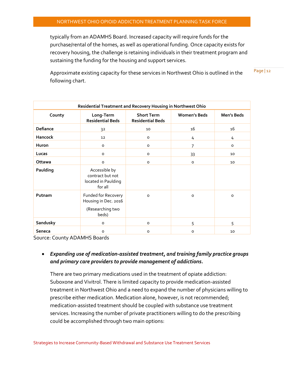typically from an ADAMHS Board. Increased capacity will require funds for the purchase/rental of the homes, as well as operational funding. Once capacity exists for recovery housing, the challenge is retaining individuals in their treatment program and sustaining the funding for the housing and support services.

Page | 12 Approximate existing capacity for these services in Northwest Ohio is outlined in the following chart.

| Residential Treatment and Recovery Housing in Northwest Ohio |                                                                          |                                              |                     |            |  |
|--------------------------------------------------------------|--------------------------------------------------------------------------|----------------------------------------------|---------------------|------------|--|
| County                                                       | Long-Term<br><b>Residential Beds</b>                                     | <b>Short Term</b><br><b>Residential Beds</b> | <b>Women's Beds</b> | Men's Beds |  |
| Defiance                                                     | 32                                                                       | 10                                           | 16                  | 16         |  |
| Hancock                                                      | 12                                                                       | $\circ$                                      | 4                   | 4          |  |
| Huron                                                        | $\circ$                                                                  | o                                            | 7                   | $\circ$    |  |
| Lucas                                                        | o                                                                        | o                                            | 33                  | 10         |  |
| <b>Ottawa</b>                                                | o                                                                        | $\circ$                                      | $\circ$             | 10         |  |
| Paulding                                                     | Accessible by<br>contract but not<br>located in Paulding<br>for all      |                                              |                     |            |  |
| Putnam                                                       | Funded for Recovery<br>Housing in Dec. 2016<br>(Researching two<br>beds) | $\Omega$                                     | $\circ$             | $\circ$    |  |
| Sandusky                                                     | o                                                                        | $\circ$                                      | 5                   | 5          |  |
| <b>Seneca</b>                                                | o                                                                        | 0                                            | 0                   | 10         |  |

Source: County ADAMHS Boards

#### *Expanding use of medication-assisted treatment, and training family practice groups and primary care providers to provide management of addictions.*

There are two primary medications used in the treatment of opiate addiction: Suboxone and Vivitrol. There is limited capacity to provide medication-assisted treatment in Northwest Ohio and a need to expand the number of physicians willing to prescribe either medication. Medication alone, however, is not recommended; medication-assisted treatment should be coupled with substance use treatment services. Increasing the number of private practitioners willing to do the prescribing could be accomplished through two main options: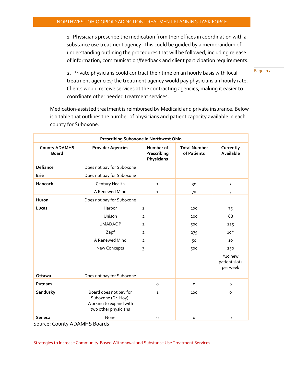1. Physicians prescribe the medication from their offices in coordination with a substance use treatment agency. This could be guided by a memorandum of understanding outlining the procedures that will be followed, including release of information, communication/feedback and client participation requirements.

2. Private physicians could contract their time on an hourly basis with local treatment agencies; the treatment agency would pay physicians an hourly rate. Clients would receive services at the contracting agencies, making it easier to coordinate other needed treatment services.

Medication-assisted treatment is reimbursed by Medicaid and private insurance. Below is a table that outlines the number of physicians and patient capacity available in each county for Suboxone.

| Prescribing Suboxone in Northwest Ohio |                                                                                                 |                                        |                                    |                                         |
|----------------------------------------|-------------------------------------------------------------------------------------------------|----------------------------------------|------------------------------------|-----------------------------------------|
| <b>County ADAMHS</b><br><b>Board</b>   | <b>Provider Agencies</b>                                                                        | Number of<br>Prescribing<br>Physicians | <b>Total Number</b><br>of Patients | Currently<br>Available                  |
| <b>Defiance</b>                        | Does not pay for Suboxone                                                                       |                                        |                                    |                                         |
| Erie                                   | Does not pay for Suboxone                                                                       |                                        |                                    |                                         |
| <b>Hancock</b>                         | Century Health                                                                                  | $\mathbf{1}$                           | 30                                 | $\overline{3}$                          |
|                                        | A Renewed Mind                                                                                  | 1                                      | 70                                 | 5                                       |
| Huron                                  | Does not pay for Suboxone                                                                       |                                        |                                    |                                         |
| Lucas                                  | Harbor                                                                                          | 1                                      | 100                                | 75                                      |
|                                        | Unison                                                                                          | $\overline{2}$                         | 200                                | 68                                      |
|                                        | <b>UMADAOP</b>                                                                                  | $\overline{2}$                         | 500                                | 125                                     |
|                                        | Zepf                                                                                            | $\overline{2}$                         | 275                                | $10*$                                   |
|                                        | A Renewed Mind                                                                                  | $\overline{2}$                         | 50                                 | 10                                      |
|                                        | New Concepts                                                                                    | 3                                      | 500                                | 250                                     |
|                                        |                                                                                                 |                                        |                                    | $*$ 10 new<br>patient slots<br>per week |
| Ottawa                                 | Does not pay for Suboxone                                                                       |                                        |                                    |                                         |
| Putnam                                 |                                                                                                 | $\mathsf{o}\xspace$                    | O                                  | $\mathsf{o}$                            |
| Sandusky                               | Board does not pay for<br>Suboxone (Dr. Hoy).<br>Working to expand with<br>two other physicians | $\mathbf{1}$                           | 100                                | $\mathsf{o}\xspace$                     |
| Seneca                                 | None                                                                                            | $\mathsf{o}\xspace$                    | o                                  | $\circ$                                 |

Source: County ADAMHS Boards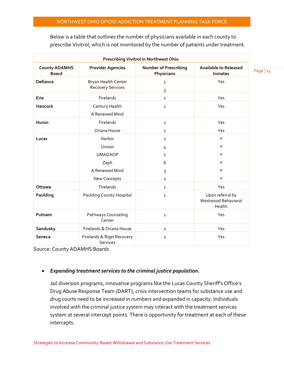| <b>Prescribing Vivitrol in Northwest Ohio</b> |                                                                                                                       |                                                                                               |                                                                              |  |
|-----------------------------------------------|-----------------------------------------------------------------------------------------------------------------------|-----------------------------------------------------------------------------------------------|------------------------------------------------------------------------------|--|
| <b>County ADAMHS</b><br><b>Board</b>          | <b>Provider Agencies</b>                                                                                              | <b>Number of Prescribing</b><br>Physicians                                                    | <b>Available to Released</b><br><b>Inmates</b>                               |  |
| <b>Defiance</b>                               | Bryan Health Center<br><b>Recovery Services</b>                                                                       | $\mathbf{1}$<br>3                                                                             | Yes                                                                          |  |
| Erie                                          | <b>Firelands</b>                                                                                                      | $\mathbf{1}$                                                                                  | <b>Yes</b>                                                                   |  |
| <b>Hancock</b>                                | Century Health<br>A Renewed Mind                                                                                      | $\mathbf{1}$                                                                                  | Yes                                                                          |  |
| Huron                                         | Firelands<br>Oriana House                                                                                             | $\mathbf{1}$<br>$\mathbf{1}$                                                                  | Yes<br>Yes                                                                   |  |
| Lucas<br>Ottawa<br>Paulding                   | Harbor<br>Unison<br><b>UMADAOP</b><br>Zeph<br>A Renewed Mind<br>New Concepts<br>Firelands<br>Paulding County Hospital | $\mathbf{1}$<br>4<br>$\mathbf{1}$<br>6<br>3<br>$\overline{2}$<br>$\mathbf{1}$<br>$\mathbf{1}$ | Y<br>Y<br>Y<br>Υ<br>Y<br>Y<br>Yes<br>Upon referral by<br>Westwood Behavioral |  |
| Putnam                                        | Pathways Counseling<br>Center                                                                                         | $\mathbf{1}$                                                                                  | Health<br>Yes                                                                |  |
| Sandusky                                      | Firelands & Oriana House                                                                                              | $\overline{2}$                                                                                | Yes                                                                          |  |
| <b>Seneca</b>                                 | Firelands & Rigel Recovery<br>Services                                                                                | $\overline{2}$                                                                                | Yes                                                                          |  |

Below is a table that outlines the number of physicians available in each county to prescribe Vivitrol, which is not monitored by the number of patients under treatment.

Source: County ADAMHS Boards

#### *Expanding treatment services to the criminal justice population.*

Jail diversion programs, innovative programs like the Lucas County Sheriff's Office's Drug Abuse Response Team (DART), crisis intervention teams for substance use and drug courts need to be increased in numbers and expanded in capacity. Individuals involved with the criminal justice system may interact with the treatment services system at several intercept points. There is opportunity for treatment at each of these intercepts.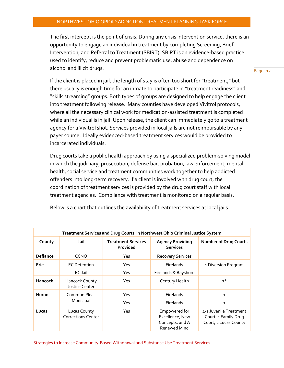The first intercept is the point of crisis. During any crisis intervention service, there is an opportunity to engage an individual in treatment by completing Screening, Brief Intervention, and Referral to Treatment (SBIRT). SBIRT is an evidence-based practice used to identify, reduce and prevent problematic use, abuse and dependence on alcohol and illicit drugs.

Page | 15

If the client is placed in jail, the length of stay is often too short for "treatment," but there usually is enough time for an inmate to participate in "treatment readiness" and "skills streaming" groups. Both types of groups are designed to help engage the client into treatment following release. Many counties have developed Vivitrol protocols, where all the necessary clinical work for medication-assisted treatment is completed while an individual is in jail. Upon release, the client can immediately go to a treatment agency for a Vivitrol shot. Services provided in local jails are not reimbursable by any payer source. Ideally evidenced-based treatment services would be provided to incarcerated individuals.

Drug courts take a public health approach by using a specialized problem-solving model in which the judiciary, prosecution, defense bar, probation, law enforcement, mental health, social service and treatment communities work together to help addicted offenders into long-term recovery. If a client is involved with drug court, the coordination of treatment services is provided by the drug court staff with local treatment agencies. Compliance with treatment is monitored on a regular basis.

| Treatment Services and Drug Courts in Northwest Ohio Criminal Justice System |                                           |                                       |                                                                            |                                                                         |  |
|------------------------------------------------------------------------------|-------------------------------------------|---------------------------------------|----------------------------------------------------------------------------|-------------------------------------------------------------------------|--|
| County                                                                       | Jail                                      | <b>Treatment Services</b><br>Provided | <b>Agency Providing</b><br><b>Services</b>                                 | <b>Number of Drug Courts</b>                                            |  |
| <b>Defiance</b>                                                              | CCNO                                      | Yes                                   | <b>Recovery Services</b>                                                   |                                                                         |  |
| Erie                                                                         | <b>EC</b> Detention                       | Yes                                   | <b>Firelands</b>                                                           | 1 Diversion Program                                                     |  |
|                                                                              | EC Jail                                   | Yes                                   | Firelands & Bayshore                                                       |                                                                         |  |
| <b>Hancock</b>                                                               | <b>Hancock County</b><br>Justice Center   | Yes                                   | Century Health                                                             | $2^*$                                                                   |  |
| <b>Huron</b>                                                                 | Common Pleas<br>Municipal                 | Yes                                   | Firelands                                                                  | 1                                                                       |  |
|                                                                              |                                           | Yes                                   | <b>Firelands</b>                                                           | 1                                                                       |  |
| Lucas                                                                        | Lucas County<br><b>Corrections Center</b> | Yes                                   | Empowered for<br>Excellence, New<br>Concepts, and A<br><b>Renewed Mind</b> | 4-1 Juvenile Treatment<br>Court, 1 Family Drug<br>Court, 2 Lucas County |  |

Below is a chart that outlines the availability of treatment services at local jails.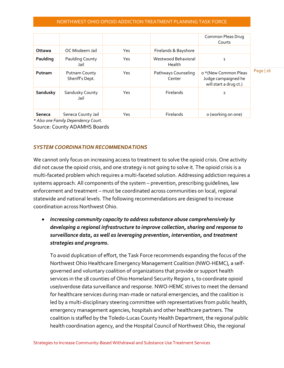|          |                                         |     |                               | Common Pleas Drug<br>Courts                                           |             |
|----------|-----------------------------------------|-----|-------------------------------|-----------------------------------------------------------------------|-------------|
| Ottawa   | OC Misdeem Jail                         | Yes | Firelands & Bayshore          |                                                                       |             |
| Paulding | Paulding County<br>Jail                 | Yes | Westwood Behavioral<br>Health | 1                                                                     |             |
| Putnam   | <b>Putnam County</b><br>Sheriff's Dept. | Yes | Pathways Counseling<br>Center | o *(New Common Pleas<br>Judge campaigned he<br>will start a drug ct.) | Page $ 16 $ |
| Sandusky | Sandusky County<br>Jail                 | Yes | Firelands                     | 2                                                                     |             |
| Seneca   | Seneca County Jail                      | Yes | <b>Firelands</b>              | o (working on one)                                                    |             |

*\* Also one Family Dependency Court.*

Source: County ADAMHS Boards

#### *SYSTEM COORDINATION RECOMMENDATIONS*

We cannot only focus o[n increasing access to treatment](http://content.healthaffairs.org/content/35/6/1052.extract) to solve the opioid crisis. One activity did not cause the opioid crisis, and one strategy is not going to solve it. The opioid crisis is a multi-faceted problem which requires a multi-faceted solution. Addressing addiction requires a systems approach. All components of the system – prevention, prescribing guidelines, law enforcement and treatment – must be coordinated across communities on local, regional statewide and national levels. The following recommendations are designed to increase coordination across Northwest Ohio.

 *Increasing community capacity to address substance abuse comprehensively by developing a regional infrastructure to improve collection, sharing and response to surveillance data, as well as leveraging prevention, intervention, and treatment strategies and programs.*

To avoid duplication of effort, the Task Force recommends expanding the focus of the Northwest Ohio Healthcare Emergency Management Coalition (NWO-HEMC), a selfgoverned and voluntary coalition of organizations that provide or support health services in the 18 counties of Ohio Homeland Security Region 1, to coordinate opioid use/overdose data surveillance and response. NWO-HEMC strives to meet the demand for healthcare services during man-made or natural emergencies, and the coalition is led by a multi-disciplinary steering committee with representatives from public health, emergency management agencies, hospitals and other healthcare partners. The coalition is staffed by the Toledo-Lucas County Health Department, the regional public health coordination agency, and the Hospital Council of Northwest Ohio, the regional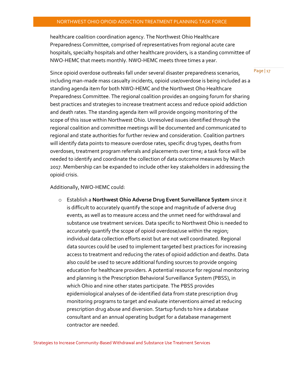healthcare coalition coordination agency. The Northwest Ohio Healthcare Preparedness Committee, comprised of representatives from regional acute care hospitals, specialty hospitals and other healthcare providers, is a standing committee of NWO-HEMC that meets monthly. NWO-HEMC meets three times a year.

Since opioid overdose outbreaks fall under several disaster preparedness scenarios, including man-made mass casualty incidents, opioid use/overdose is being included as a standing agenda item for both NWO-HEMC and the Northwest Oho Healthcare Preparedness Committee. The regional coalition provides an ongoing forum for sharing best practices and strategies to increase treatment access and reduce opioid addiction and death rates. The standing agenda item will provide ongoing monitoring of the scope of this issue within Northwest Ohio. Unresolved issues identified through the regional coalition and committee meetings will be documented and communicated to regional and state authorities for further review and consideration. Coalition partners will identify data points to measure overdose rates, specific drug types, deaths from overdoses, treatment program referrals and placements over time; a task force will be needed to identify and coordinate the collection of data outcome measures by March 2017. Membership can be expanded to include other key stakeholders in addressing the opioid crisis.

#### Additionally, NWO-HEMC could:

o Establish a **Northwest Ohio Adverse Drug Event Surveillance System** since it is difficult to accurately quantify the scope and magnitude of adverse drug events, as well as to measure access and the unmet need for withdrawal and substance use treatment services. Data specific to Northwest Ohio is needed to accurately quantify the scope of opioid overdose/use within the region; individual data collection efforts exist but are not well coordinated. Regional data sources could be used to implement targeted best practices for increasing access to treatment and reducing the rates of opioid addiction and deaths. Data also could be used to secure additional funding sources to provide ongoing education for healthcare providers. A potential resource for regional monitoring and planning is the Prescription Behavioral Surveillance System (PBSS), in which Ohio and nine other states participate. The PBSS provides epidemiological analyses of de-identified data from state prescription drug monitoring programs to target and evaluate interventions aimed at reducing prescription drug abuse and diversion. Startup funds to hire a database consultant and an annual operating budget for a database management contractor are needed.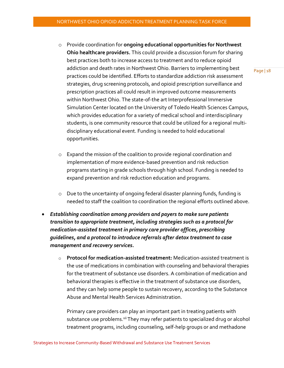- o Provide coordination for **ongoing educational opportunities for Northwest Ohio healthcare providers.** This could provide a discussion forum for sharing best practices both to increase access to treatment and to reduce opioid addiction and death rates in Northwest Ohio. Barriers to implementing best practices could be identified. Efforts to standardize addiction risk assessment strategies, drug screening protocols, and opioid prescription surveillance and prescription practices all could result in improved outcome measurements within Northwest Ohio. The state-of-the art Interprofessional Immersive Simulation Center located on the University of Toledo Health Sciences Campus, which provides education for a variety of medical school and interdisciplinary students, is one community resource that could be utilized for a regional multidisciplinary educational event. Funding is needed to hold educational opportunities.
- o Expand the mission of the coalition to provide regional coordination and implementation of more evidence-based prevention and risk reduction programs starting in grade schools through high school. Funding is needed to expand prevention and risk reduction education and programs.
- o Due to the uncertainty of ongoing federal disaster planning funds, funding is needed to staff the coalition to coordination the regional efforts outlined above.
- *Establishing coordination among providers and payers to make sure patients transition to appropriate treatment, including strategies such as a protocol for medication-assisted treatment in primary care provider offices, prescribing guidelines, and a protocol to introduce referrals after detox treatment to case management and recovery services.*
	- o **Protocol for medication-assisted treatment:** Medication-assisted treatment is the use of medications in combination with counseling and behavioral therapies for the treatment of substance use disorders. A combination of medication and behavioral therapies is effective in the treatment of substance use disorders, and they can help some people to sustain recovery, according to the Substance Abuse and Mental Health Services Administration.

Primary care providers can play an important part in treating patients with substance use problems.<sup>vii</sup> They may refer patients to specialized drug or alcohol treatment programs, including counseling, self-help groups or and methadone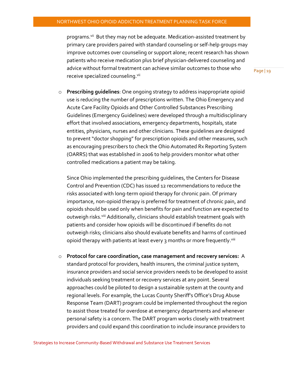programs.<sup>vii</sup> But they may not be adequate. Medication-assisted treatment by primary care providers paired with standard counseling or self-help groups may improve outcomes over counseling or support alone; recent research has shown patients who receive medication plus brief physician-delivered counseling and advice without formal treatment can achieve similar outcomes to those who receive specialized counseling. Vil

Page | 19

o **Prescribing guidelines**: One ongoing strategy to address inappropriate opioid use is reducing the number of prescriptions written. The Ohio Emergency and Acute Care Facility Opioids and Other Controlled Substances Prescribing Guidelines (Emergency Guidelines) were developed through a multidisciplinary effort that involved associations, emergency departments, hospitals, state entities, physicians, nurses and other clinicians. These guidelines are designed to prevent "doctor shopping" for prescription opioids and other measures, such as encouraging prescribers to check the Ohio Automated Rx Reporting System (OARRS) that was established in 2006 to help providers monitor what other controlled medications a patient may be taking.

Since Ohio implemented the prescribing guidelines, the Centers for Disease Control and Prevention (CDC) has issued 12 recommendations to reduce the risks associated with long-term opioid therapy for chronic pain. Of primary importance, non-opioid therapy is preferred for treatment of chronic pain, and opioids should be used only when benefits for pain and function are expected to outweigh risks.<sup>viii</sup> Additionally, clinicians should establish treatment goals with patients and consider how opioids will be discontinued if benefits do not outweigh risks; clinicians also should evaluate benefits and harms of continued opioid therapy with patients at least every 3 months or more frequently.''iii

o **Protocol for care coordination, case management and recovery services:** A standard protocol for providers, health insurers, the criminal justice system, insurance providers and social service providers needs to be developed to assist individuals seeking treatment or recovery services at any point. Several approaches could be piloted to design a sustainable system at the county and regional levels. For example, the Lucas County Sheriff's Office's Drug Abuse Response Team (DART) program could be implemented throughout the region to assist those treated for overdose at emergency departments and whenever personal safety is a concern. The DART program works closely with treatment providers and could expand this coordination to include insurance providers to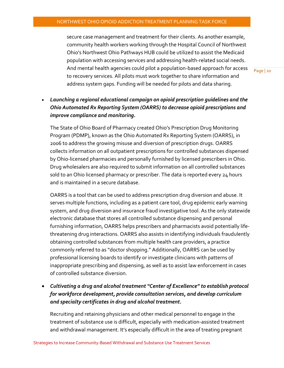secure case management and treatment for their clients. As another example, community health workers working through the Hospital Council of Northwest Ohio's Northwest Ohio Pathways HUB could be utilized to assist the Medicaid population with accessing services and addressing health-related social needs. And mental health agencies could pilot a population-based approach for access to recovery services. All pilots must work together to share information and address system gaps. Funding will be needed for pilots and data sharing.

Page | 20

#### *Launching a regional educational campaign on opioid prescription guidelines and the Ohio Automated Rx Reporting System (OARRS) to decrease opioid prescriptions and improve compliance and monitoring.*

The State of Ohio Board of Pharmacy created Ohio's Prescription Drug Monitoring Program (PDMP), known as the Ohio Automated Rx Reporting System (OARRS), in 2006 to address the growing misuse and diversion of prescription drugs. OARRS collects information on all outpatient prescriptions for controlled substances dispensed by Ohio-licensed pharmacies and personally furnished by licensed prescribers in Ohio. Drug wholesalers are also required to submit information on all controlled substances sold to an Ohio licensed pharmacy or prescriber. The data is reported every 24 hours and is maintained in a secure database.

OARRS is a tool that can be used to address prescription drug diversion and abuse. It serves multiple functions, including as a patient care tool, drug epidemic early warning system, and drug diversion and insurance fraud investigative tool. As the only statewide electronic database that stores all controlled substance dispensing and personal furnishing information, OARRS helps prescribers and pharmacists avoid potentially lifethreatening drug interactions. OARRS also assists in identifying individuals fraudulently obtaining controlled substances from multiple health care providers, a practice commonly referred to as "doctor shopping." Additionally, OARRS can be used by professional licensing boards to identify or investigate clinicians with patterns of inappropriate prescribing and dispensing, as well as to assist law enforcement in cases of controlled substance diversion.

 *Cultivating a drug and alcohol treatment "Center of Excellence" to establish protocol for workforce development, provide consultation services, and develop curriculum and specialty certificates in drug and alcohol treatment.*

Recruiting and retaining physicians and other medical personnel to engage in the treatment of substance use is difficult, especially with medication-assisted treatment and withdrawal management. It's especially difficult in the area of treating pregnant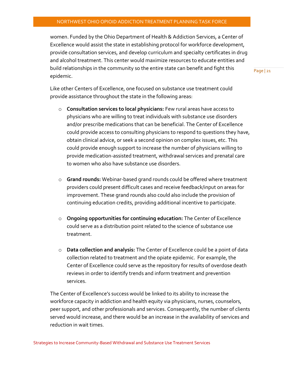women. Funded by the Ohio Department of Health & Addiction Services, a Center of Excellence would assist the state in establishing protocol for workforce development, provide consultation services, and develop curriculum and specialty certificates in drug and alcohol treatment. This center would maximize resources to educate entities and build relationships in the community so the entire state can benefit and fight this epidemic.

Page | 21

Like other Centers of Excellence, one focused on substance use treatment could provide assistance throughout the state in the following areas:

- o **Consultation services to local physicians:** Few rural areas have access to physicians who are willing to treat individuals with substance use disorders and/or prescribe medications that can be beneficial. The Center of Excellence could provide access to consulting physicians to respond to questions they have, obtain clinical advice, or seek a second opinion on complex issues, etc. This could provide enough support to increase the number of physicians willing to provide medication-assisted treatment, withdrawal services and prenatal care to women who also have substance use disorders.
- o **Grand rounds:** Webinar-based grand rounds could be offered where treatment providers could present difficult cases and receive feedback/input on areas for improvement. These grand rounds also could also include the provision of continuing education credits, providing additional incentive to participate.
- o **Ongoing opportunities for continuing education:** The Center of Excellence could serve as a distribution point related to the science of substance use treatment.
- o **Data collection and analysis:** The Center of Excellence could be a point of data collection related to treatment and the opiate epidemic. For example, the Center of Excellence could serve as the repository for results of overdose death reviews in order to identify trends and inform treatment and prevention services.

The Center of Excellence's success would be linked to its ability to increase the workforce capacity in addiction and health equity via physicians, nurses, counselors, peer support, and other professionals and services. Consequently, the number of clients served would increase, and there would be an increase in the availability of services and reduction in wait times.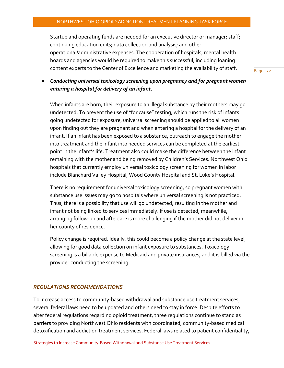Startup and operating funds are needed for an executive director or manager; staff; continuing education units; data collection and analysis; and other operational/administrative expenses. The cooperation of hospitals, mental health boards and agencies would be required to make this successful, including loaning content experts to the Center of Excellence and marketing the availability of staff.

Page | 22

 *Conducting universal toxicology screening upon pregnancy and for pregnant women entering a hospital for delivery of an infant.*

When infants are born, their exposure to an illegal substance by their mothers may go undetected. To prevent the use of "for cause" testing, which runs the risk of infants going undetected for exposure, universal screening should be applied to all women upon finding out they are pregnant and when entering a hospital for the delivery of an infant. If an infant has been exposed to a substance, outreach to engage the mother into treatment and the infant into needed services can be completed at the earliest point in the infant's life. Treatment also could make the difference between the infant remaining with the mother and being removed by Children's Services. Northwest Ohio hospitals that currently employ universal toxicology screening for women in labor include Blanchard Valley Hospital, Wood County Hospital and St. Luke's Hospital.

There is no requirement for universal toxicology screening, so pregnant women with substance use issues may go to hospitals where universal screening is not practiced. Thus, there is a possibility that use will go undetected, resulting in the mother and infant not being linked to services immediately. If use is detected, meanwhile, arranging follow-up and aftercare is more challenging if the mother did not deliver in her county of residence.

Policy change is required. Ideally, this could become a policy change at the state level, allowing for good data collection on infant exposure to substances. Toxicology screening is a billable expense to Medicaid and private insurances, and it is billed via the provider conducting the screening.

#### *REGULATIONS RECOMMENDATIONS*

To increase access to community-based withdrawal and substance use treatment services, several federal laws need to be updated and others need to stay in force. Despite efforts to alter federal regulations regarding opioid treatment, three regulations continue to stand as barriers to providing Northwest Ohio residents with coordinated, community-based medical detoxification and addiction treatment services. Federal laws related to patient confidentiality,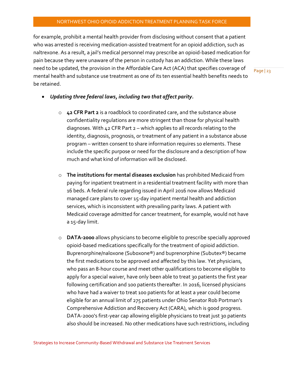for example, prohibit a mental health provider from disclosing without consent that a patient who was arrested is receiving medication-assisted treatment for an opioid addiction, such as naltrexone. As a result, a jail's medical personnel may prescribe an opioid-based medication for pain because they were unaware of the person in custody has an addiction. While these laws need to be updated, the provision in the Affordable Care Act (ACA) that specifies coverage of mental health and substance use treatment as one of its ten essential health benefits needs to be retained.

- *Updating three federal laws, including two that affect parity.*
	- o **42 CFR Part 2** is a roadblock to coordinated care, and the substance abuse confidentiality regulations are more stringent than those for physical health diagnoses. With 42 CFR Part 2 – which applies to all records relating to the identity, diagnosis, prognosis, or treatment of any patient in a substance abuse program – written consent to share information requires 10 elements. These include the specific purpose or need for the disclosure and a description of how much and what kind of information will be disclosed.
	- o **The institutions for mental diseases exclusion** has prohibited Medicaid from paying for inpatient treatment in a residential treatment facility with more than 16 beds. A federal rule regarding issued in April 2016 now allows Medicaid managed care plans to cover 15-day inpatient mental health and addiction services, which is inconsistent with prevailing parity laws. A patient with Medicaid coverage admitted for cancer treatment, for example, would not have a 15-day limit.
	- o **DATA-2000** allows physicians to become eligible to prescribe specially approved opioid-based medications specifically for the treatment of opioid addiction. Buprenorphine/naloxone (Suboxone®) and buprenorphine (Subutex®) became the first medications to be approved and affected by this law. Yet physicians, who pass an 8-hour course and meet other qualifications to become eligible to apply for a special waiver, have only been able to treat 30 patients the first year following certification and 100 patients thereafter. In 2016, licensed physicians who have had a waiver to treat 100 patients for at least a year could become eligible for an annual limit of 275 patients under Ohio Senator Rob Portman's Comprehensive Addiction and Recovery Act (CARA), which is good progress. DATA-2000's first-year cap allowing eligible physicians to treat just 30 patients also should be increased. No other medications have such restrictions, including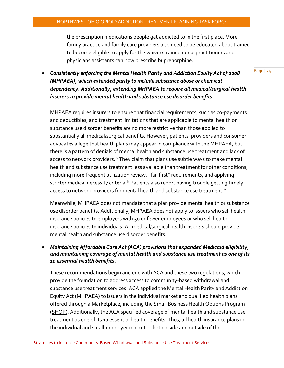the prescription medications people get addicted to in the first place. More family practice and family care providers also need to be educated about trained to become eligible to apply for the waiver; trained nurse practitioners and physicians assistants can now prescribe buprenorphine.

 *Consistently enforcing the Mental Health Parity and Addiction Equity Act of 2008 (MHPAEA), which extended parity to include substance abuse or chemical dependency. Additionally, extending MHPAEA to require all medical/surgical health insurers to provide mental health and substance use disorder benefits.*

MHPAEA requires insurers to ensure that financial requirements, such as co-payments and deductibles, and treatment limitations that are applicable to mental health or substance use disorder benefits are no more restrictive than those applied to substantially all medical/surgical benefits. However, patients, providers and consumer advocates allege that health plans may appear in compliance with the MHPAEA, but there is a pattern of denials of mental health and substance use treatment and lack of access to network providers.<sup>ix</sup> They claim that plans use subtle ways to make mental health and substance use treatment less available than treatment for other conditions, including more frequent utilization review, "fail first" requirements, and applying stricter medical necessity criteria.<sup>ix</sup> Patients also report having trouble getting timely access to network providers for mental health and substance use treatment.<sup>ix</sup>

Meanwhile, MHPAEA does not mandate that a plan provide mental health or substance use disorder benefits. Additionally, MHPAEA does not apply to issuers who sell health insurance policies to employers with 50 or fewer employees or who sell health insurance policies to individuals. All medical/surgical health insurers should provide mental health and substance use disorder benefits.

#### *Maintaining Affordable Care Act (ACA) provisions that expanded Medicaid eligibility, and maintaining coverage of mental health and substance use treatment as one of its 10 essential health benefits.*

These recommendations begin and end with ACA and these two regulations, which provide the foundation to address access to community-based withdrawal and substance use treatment services. ACA applied the Mental Health Parity and Addiction Equity Act (MHPAEA) to issuers in the individual market and qualified health plans offered through a Marketplace, including the Small Business Health Options Program (SHOP). Additionally, the ACA specified coverage of mental health and substance use treatment as one of its 10 essential health benefits. Thus, all health insurance plans in the individual and small-employer market — both inside and outside of the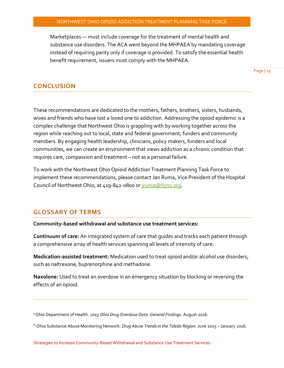Marketplaces — must include coverage for the treatment of mental health and substance use disorders. The ACA went beyond the MHPAEA by mandating coverage instead of requiring parity only if coverage is provided. To satisfy the essential health benefit requirement, issuers must comply with the MHPAEA.

Page | 25

#### **CONCLUSION**

These recommendations are dedicated to the mothers, fathers, brothers, sisters, husbands, wives and friends who have lost a loved one to addiction. Addressing the opioid epidemic is a complex challenge that Northwest Ohio is grappling with by working together across the region while reaching out to local, state and federal government, funders and community members. By engaging health leadership, clinicians, policy makers, funders and local communities, we can create an environment that views addiction as a chronic condition that requires care, compassion and treatment – not as a personal failure.

To work with the Northwest Ohio Opioid Addiction Treatment Planning Task Force to implement these recommendations, please contact Jan Ruma, Vice President of the Hospital Council of Northwest Ohio, at 419-842-0800 o[r jruma@hcno.org.](mailto:jruma@hcno.org)

#### **GLOSSARY OF TERMS**

**Community-based withdrawal and substance use treatment services:**

**Continuum of care:** An integrated system of care that guides and tracks each patient through a comprehensive array of health services spanning all levels of intensity of care.

**Medication-assisted treatment:** Medication used to treat opioid and/or alcohol use disorders, such as naltrexone, buprenorphine and methadone.

**Naxolone:** Used to treat an overdose in an emergency situation by blocking or reversing the effects of an opioid.

\_\_\_\_\_\_\_\_\_\_\_\_\_\_\_\_\_\_\_\_\_\_\_\_\_\_\_\_\_\_\_\_\_\_\_\_\_\_\_\_\_\_\_\_\_\_\_\_\_\_\_\_\_\_\_\_\_\_\_\_\_\_\_\_\_\_\_\_\_\_\_\_\_\_\_\_\_\_\_

ii Ohio Department of Health. *2015 Ohio Drug Overdose Data: General Findings*. August 2016.

iii Ohio Substance Abuse Monitoring Network. *Drug Abuse Trends in the Toledo Region.* June 2015 – January 2016.